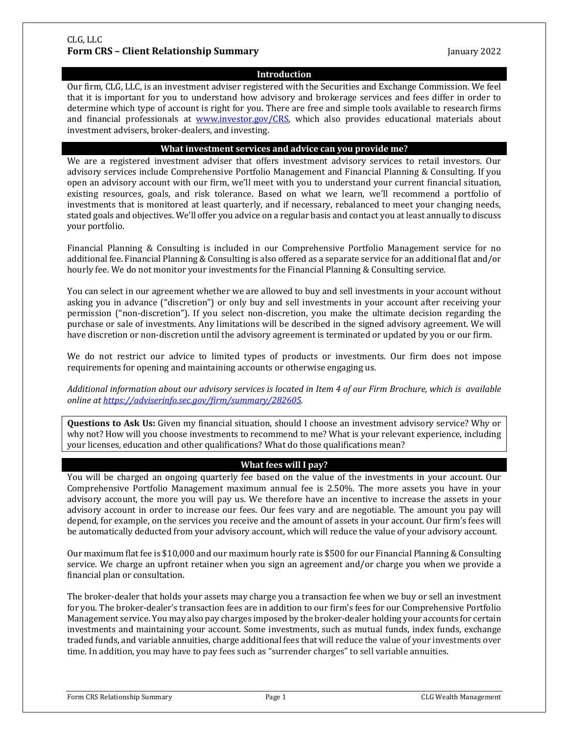## CLG, LLC **Form CRS – Client Relationship Summary January 2022**

# **Introduction**

Our firm, CLG, LLC, is an investment adviser registered with the Securities and Exchange Commission. We feel that it is important for you to understand how advisory and brokerage services and fees differ in order to determine which type of account is right for you. There are free and simple tools available to research firms and financial professionals at www.investor.gov/CRS, which also provides educational materials about investment advisers, broker-dealers, and investing.

# **What investment services and advice can you provide me?**

We are a registered investment adviser that offers investment advisory services to retail investors. Our advisory services include Comprehensive Portfolio Management and Financial Planning & Consulting. If you open an advisory account with our firm, we'll meet with you to understand your current financial situation, existing resources, goals, and risk tolerance. Based on what we learn, we'll recommend a portfolio of investments that is monitored at least quarterly, and if necessary, rebalanced to meet your changing needs, stated goals and objectives. We'll offer you advice on a regular basis and contact you at least annually to discuss your portfolio.

Financial Planning & Consulting is included in our Comprehensive Portfolio Management service for no additional fee. Financial Planning & Consulting is also offered as a separate service for an additional flat and/or hourly fee. We do not monitor your investments for the Financial Planning & Consulting service.

You can select in our agreement whether we are allowed to buy and sell investments in your account without asking you in advance ("discretion") or only buy and sell investments in your account after receiving your permission ("non-discretion"). If you select non-discretion, you make the ultimate decision regarding the purchase or sale of investments. Any limitations will be described in the signed advisory agreement. We will have discretion or non-discretion until the advisory agreement is terminated or updated by you or our firm.

We do not restrict our advice to limited types of products or investments. Our firm does not impose requirements for opening and maintaining accounts or otherwise engaging us.

Additional information about our advisory services is located in Item 4 of our Firm Brochure, which is available *online at https://adviserinfo.sec.gov/firm/summary/282605.*

**Questions to Ask Us:** Given my financial situation, should I choose an investment advisory service? Why or why not? How will you choose investments to recommend to me? What is your relevant experience, including your licenses, education and other qualifications? What do those qualifications mean?

# **What fees will I pay?**

You will be charged an ongoing quarterly fee based on the value of the investments in your account. Our Comprehensive Portfolio Management maximum annual fee is 2.50%. The more assets you have in your advisory account, the more you will pay us. We therefore have an incentive to increase the assets in your advisory account in order to increase our fees. Our fees vary and are negotiable. The amount you pay will depend, for example, on the services you receive and the amount of assets in your account. Our firm's fees will be automatically deducted from your advisory account, which will reduce the value of your advisory account.

Our maximum flat fee is \$10,000 and our maximum hourly rate is \$500 for our Financial Planning & Consulting service. We charge an upfront retainer when you sign an agreement and/or charge you when we provide a financial plan or consultation.

The broker-dealer that holds your assets may charge you a transaction fee when we buy or sell an investment for you. The broker-dealer's transaction fees are in addition to our firm's fees for our Comprehensive Portfolio Management service. You may also pay charges imposed by the broker-dealer holding your accounts for certain investments and maintaining your account. Some investments, such as mutual funds, index funds, exchange traded funds, and variable annuities, charge additional fees that will reduce the value of your investments over time. In addition, you may have to pay fees such as "surrender charges" to sell variable annuities.